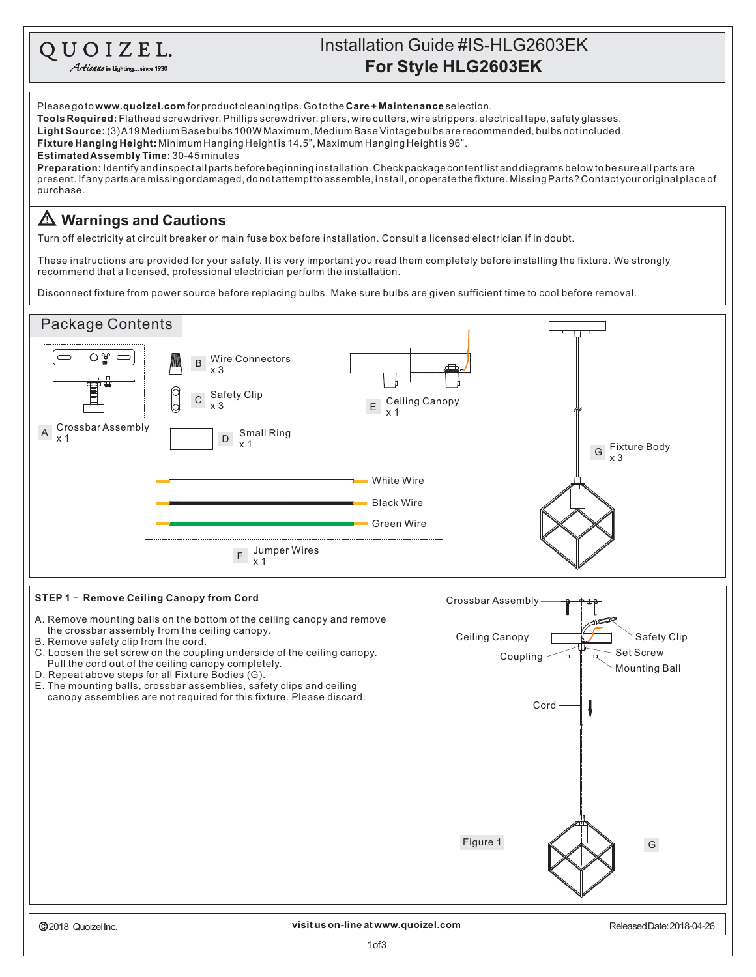## Installation Guide #IS-HLG2603EK QUOIZEL. **For Style HLG2603EK** Artisans in Lighting...since 1930 Please go to **www.quoizel.com** for product cleaning tips. Go to the **Care + Maintenance** selection.

**Tools Required:** Flathead screwdriver, Phillips screwdriver, pliers, wire cutters, wire strippers, electrical tape, safety glasses.

L**ight Source:** (3)A19 Medium Base bulbs 100W Maximum, Medium Base Vintage bulbs are recommended, bulbs not included.

**Fixture Hanging Height:** Minimum Hanging Heightis 14.5", Maximum Hanging Heightis 96".

**EstimatedAssemblyTime:** 30-45minutes

present. If any parts are missing or damaged, do not attempt to assemble, install, or operate the fixture. Missing Parts? Contact your original place of purchase. **Preparation:** Identifyandinspectallpartsbeforebeginninginstallation.Checkpackagecontentlistanddiagramsbelowtobesureallpartsare

## **Warnings and Cautions**

Turn off electricity at circuit breaker or main fuse box before installation. Consult a licensed electrician if in doubt.

These instructions are provided for your safety. It is very important you read them completely before installing the fixture. We strongly recommend that a licensed, professional electrician perform the installation.

Disconnect fixture from power source before replacing bulbs. Make sure bulbs are given sufficient time to cool before removal.

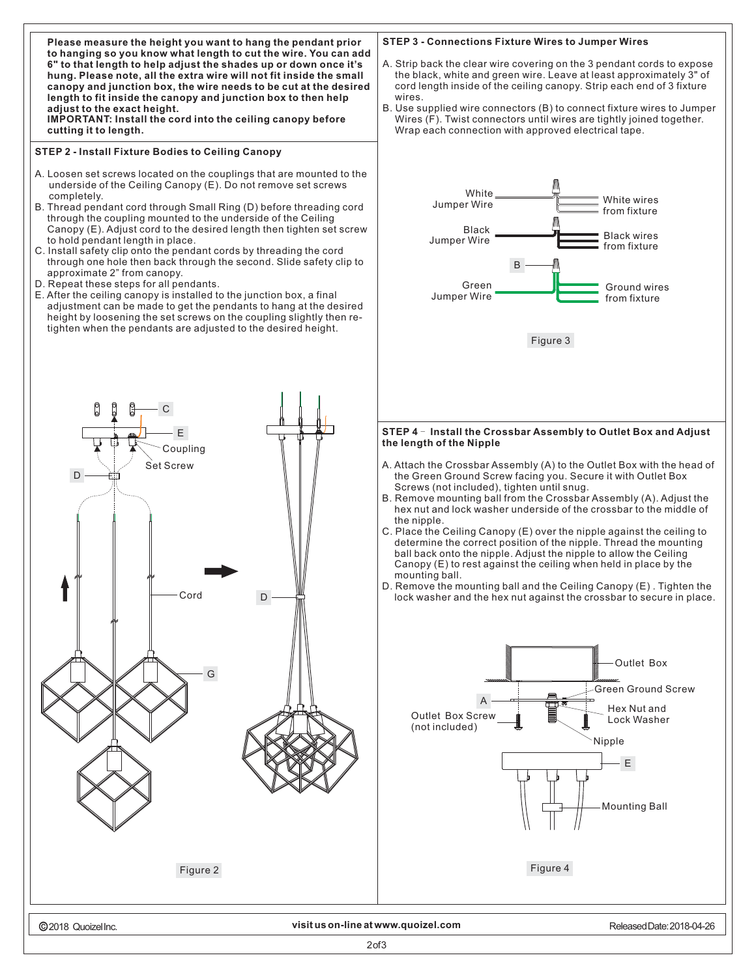

2of3